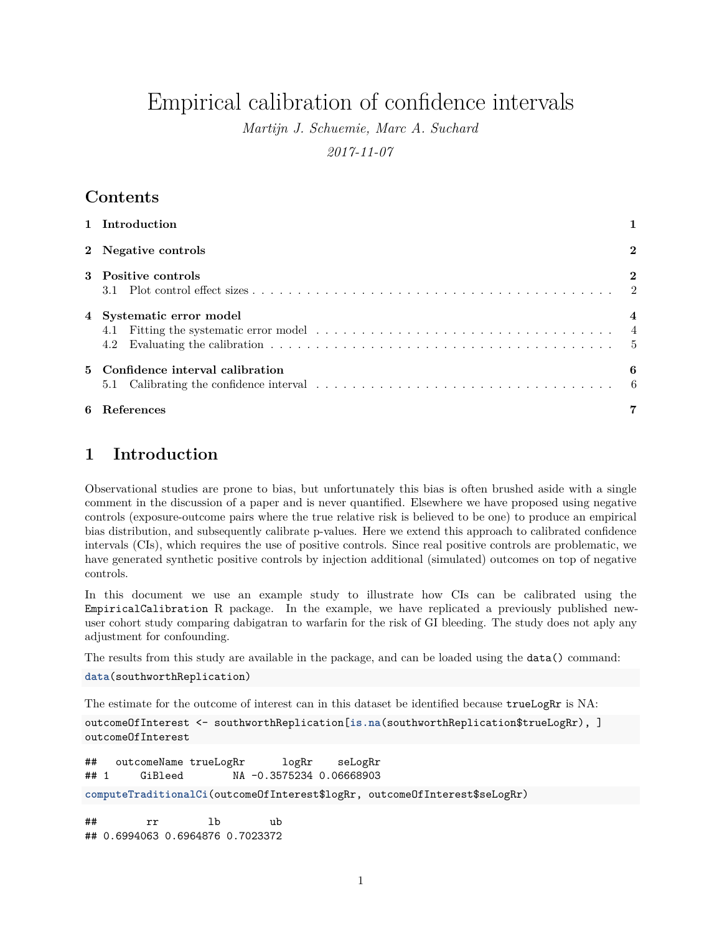# Empirical calibration of confidence intervals

*Martijn J. Schuemie, Marc A. Suchard*

*2017-11-07*

# **Contents**

| 1 Introduction                                                                                                                                                                                                                                                               |                |  |  |  |  |
|------------------------------------------------------------------------------------------------------------------------------------------------------------------------------------------------------------------------------------------------------------------------------|----------------|--|--|--|--|
| 2 Negative controls                                                                                                                                                                                                                                                          | $\overline{2}$ |  |  |  |  |
| 3 Positive controls                                                                                                                                                                                                                                                          | $\mathbf{2}$   |  |  |  |  |
| 4 Systematic error model<br>4.1 Fitting the systematic error model $\ldots \ldots \ldots \ldots \ldots \ldots \ldots \ldots \ldots \ldots \ldots$<br>Evaluating the calibration $\ldots \ldots \ldots \ldots \ldots \ldots \ldots \ldots \ldots \ldots \ldots \ldots$<br>4.2 |                |  |  |  |  |
| 5 Confidence interval calibration<br>Calibrating the confidence interval $\ldots \ldots \ldots \ldots \ldots \ldots \ldots \ldots \ldots \ldots$<br>5.1                                                                                                                      | 6              |  |  |  |  |
| 6 References                                                                                                                                                                                                                                                                 |                |  |  |  |  |

# <span id="page-0-0"></span>**1 Introduction**

Observational studies are prone to bias, but unfortunately this bias is often brushed aside with a single comment in the discussion of a paper and is never quantified. Elsewhere we have proposed using negative controls (exposure-outcome pairs where the true relative risk is believed to be one) to produce an empirical bias distribution, and subsequently calibrate p-values. Here we extend this approach to calibrated confidence intervals (CIs), which requires the use of positive controls. Since real positive controls are problematic, we have generated synthetic positive controls by injection additional (simulated) outcomes on top of negative controls.

In this document we use an example study to illustrate how CIs can be calibrated using the EmpiricalCalibration R package. In the example, we have replicated a previously published newuser cohort study comparing dabigatran to warfarin for the risk of GI bleeding. The study does not aply any adjustment for confounding.

The results from this study are available in the package, and can be loaded using the data() command:

```
data(southworthReplication)
```
The estimate for the outcome of interest can in this dataset be identified because trueLogRr is NA:

```
outcomeOfInterest <- southworthReplication[is.na(southworthReplication$trueLogRr), ]
outcomeOfInterest
```

```
## outcomeName trueLogRr logRr seLogRr
## 1 GiBleed NA -0.3575234 0.06668903
computeTraditionalCi(outcomeOfInterest$logRr, outcomeOfInterest$seLogRr)
## rr lb ub
## 0.6994063 0.6964876 0.7023372
```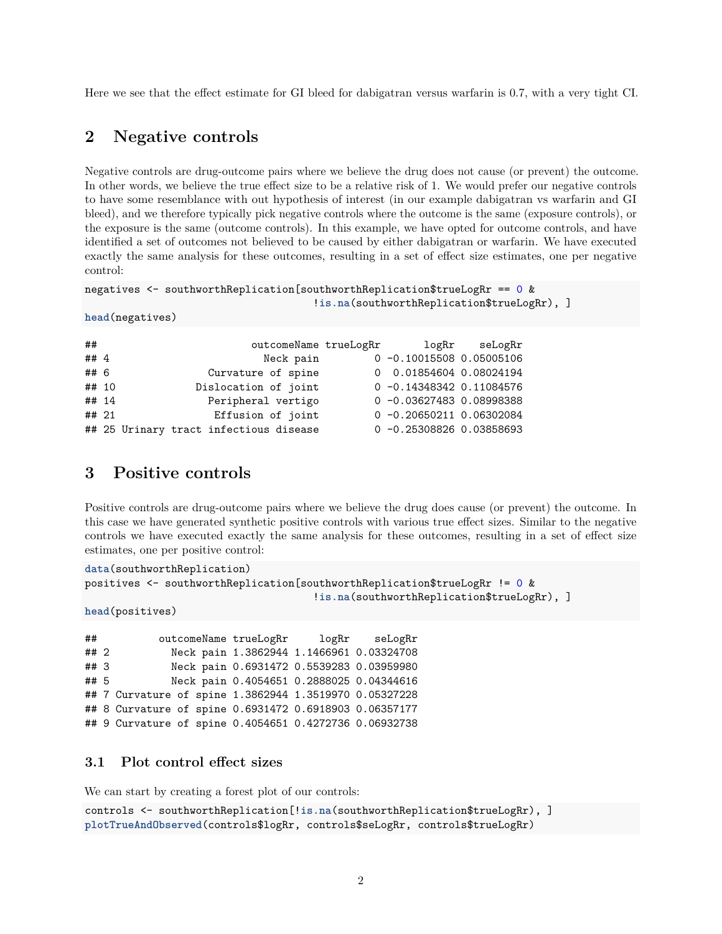Here we see that the effect estimate for GI bleed for dabigatran versus warfarin is 0.7, with a very tight CI.

### <span id="page-1-0"></span>**2 Negative controls**

Negative controls are drug-outcome pairs where we believe the drug does not cause (or prevent) the outcome. In other words, we believe the true effect size to be a relative risk of 1. We would prefer our negative controls to have some resemblance with out hypothesis of interest (in our example dabigatran vs warfarin and GI bleed), and we therefore typically pick negative controls where the outcome is the same (exposure controls), or the exposure is the same (outcome controls). In this example, we have opted for outcome controls, and have identified a set of outcomes not believed to be caused by either dabigatran or warfarin. We have executed exactly the same analysis for these outcomes, resulting in a set of effect size estimates, one per negative control:

```
negatives <- southworthReplication[southworthReplication$trueLogRr == 0 &
                                     !is.na(southworthReplication$trueLogRr), ]
```

```
head(negatives)
```

| ##    | outcomeName trueLogRr                  | logRr                       | seLogRr |
|-------|----------------------------------------|-----------------------------|---------|
| ## 4  | Neck pain                              | $0 -0.10015508 0.05005106$  |         |
| ## 6  | Curvature of spine                     | 0 0.01854604 0.08024194     |         |
| ## 10 | Dislocation of joint                   | $0 -0.143483420.11084576$   |         |
| ## 14 | Peripheral vertigo                     | $0 - 0.036274830.08998388$  |         |
| ## 21 | Effusion of joint                      | $0 -0.20650211 0.06302084$  |         |
|       | ## 25 Urinary tract infectious disease | $0 - 0.25308826 0.03858693$ |         |

### <span id="page-1-1"></span>**3 Positive controls**

Positive controls are drug-outcome pairs where we believe the drug does cause (or prevent) the outcome. In this case we have generated synthetic positive controls with various true effect sizes. Similar to the negative controls we have executed exactly the same analysis for these outcomes, resulting in a set of effect size estimates, one per positive control:

```
data(southworthReplication)
positives <- southworthReplication[southworthReplication$trueLogRr != 0 &
                                     !is.na(southworthReplication$trueLogRr), ]
```

```
head(positives)
```
## outcomeName trueLogRr logRr seLogRr ## 2 Neck pain 1.3862944 1.1466961 0.03324708 ## 3 Neck pain 0.6931472 0.5539283 0.03959980 ## 5 Neck pain 0.4054651 0.2888025 0.04344616 ## 7 Curvature of spine 1.3862944 1.3519970 0.05327228 ## 8 Curvature of spine 0.6931472 0.6918903 0.06357177 ## 9 Curvature of spine 0.4054651 0.4272736 0.06932738

#### <span id="page-1-2"></span>**3.1 Plot control effect sizes**

We can start by creating a forest plot of our controls:

```
controls <- southworthReplication[!is.na(southworthReplication$trueLogRr), ]
plotTrueAndObserved(controls$logRr, controls$seLogRr, controls$trueLogRr)
```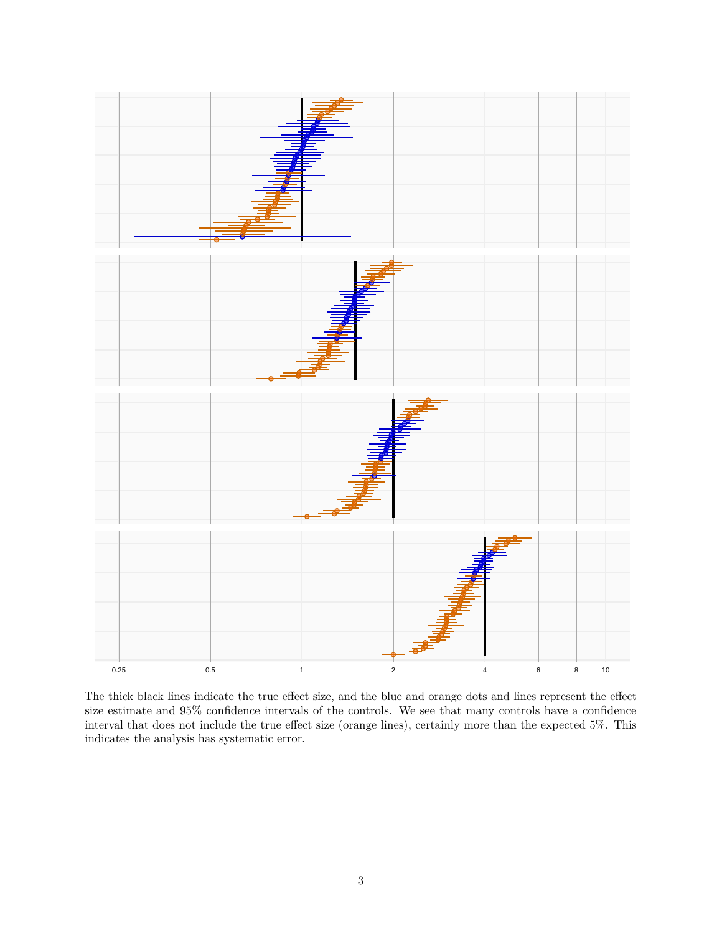

The thick black lines indicate the true effect size, and the blue and orange dots and lines represent the effect size estimate and 95% confidence intervals of the controls. We see that many controls have a confidence interval that does not include the true effect size (orange lines), certainly more than the expected 5%. This indicates the analysis has systematic error.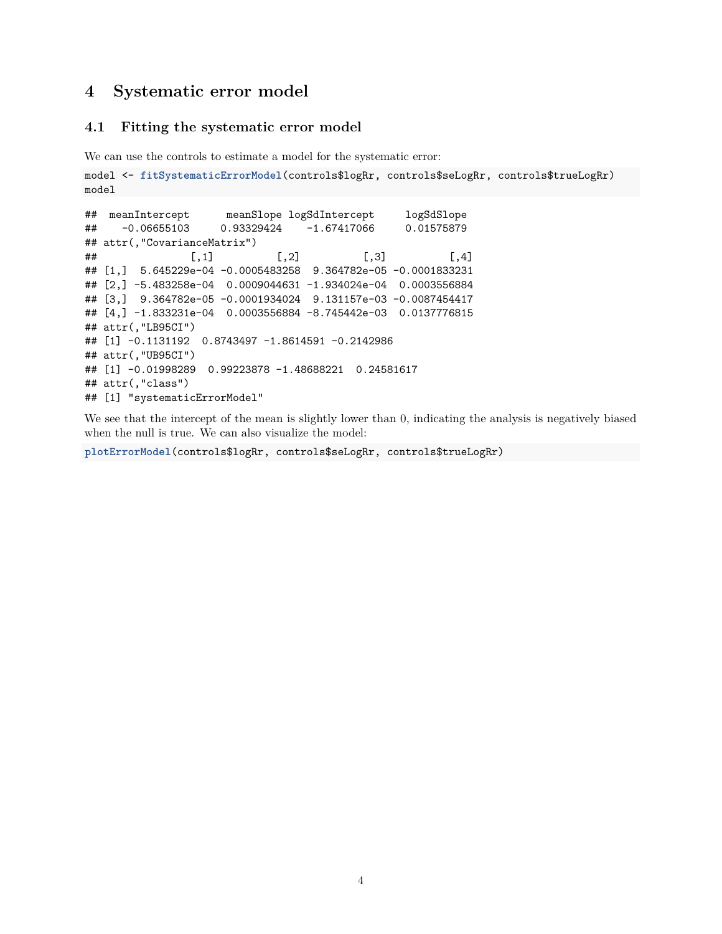## <span id="page-3-0"></span>**4 Systematic error model**

#### <span id="page-3-1"></span>**4.1 Fitting the systematic error model**

We can use the controls to estimate a model for the systematic error:

```
model <- fitSystematicErrorModel(controls$logRr, controls$seLogRr, controls$trueLogRr)
model
```

```
## meanIntercept meanSlope logSdIntercept logSdSlope
## -0.06655103 0.93329424 -1.67417066 0.01575879
## attr(,"CovarianceMatrix")
## [0,1] [0,2] [0,3] [0,4]## [1,] 5.645229e-04 -0.0005483258 9.364782e-05 -0.0001833231
## [2,] -5.483258e-04 0.0009044631 -1.934024e-04 0.0003556884
## [3,] 9.364782e-05 -0.0001934024 9.131157e-03 -0.0087454417
## [4,] -1.833231e-04 0.0003556884 -8.745442e-03 0.0137776815
## attr(,"LB95CI")
## [1] -0.1131192 0.8743497 -1.8614591 -0.2142986
## attr(,"UB95CI")
## [1] -0.01998289 0.99223878 -1.48688221 0.24581617
## attr(,"class")
## [1] "systematicErrorModel"
```
We see that the intercept of the mean is slightly lower than 0, indicating the analysis is negatively biased when the null is true. We can also visualize the model:

**plotErrorModel**(controls\$logRr, controls\$seLogRr, controls\$trueLogRr)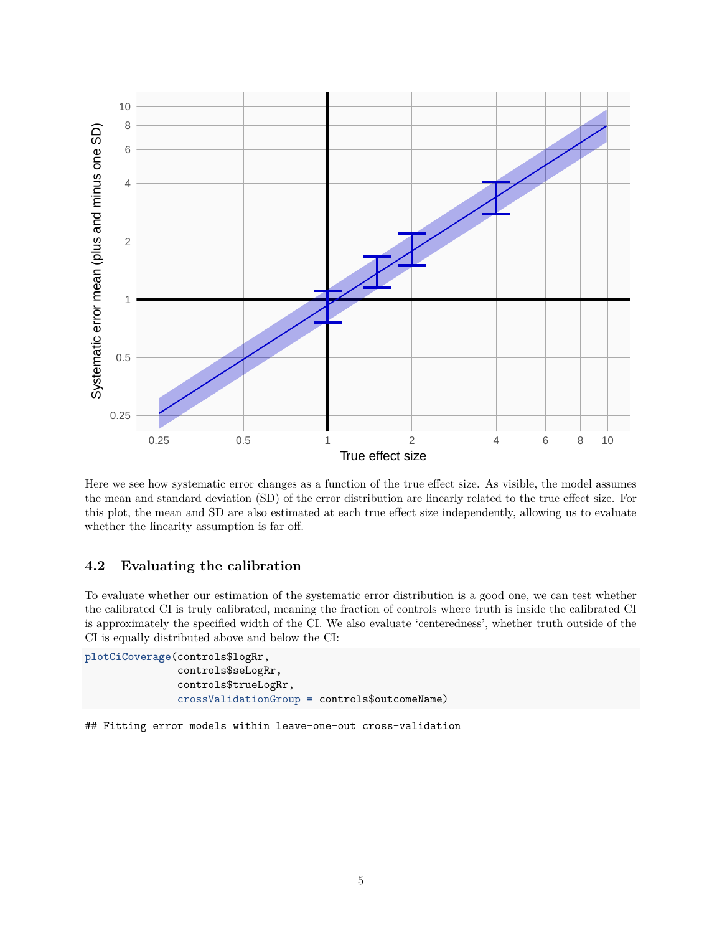

Here we see how systematic error changes as a function of the true effect size. As visible, the model assumes the mean and standard deviation (SD) of the error distribution are linearly related to the true effect size. For this plot, the mean and SD are also estimated at each true effect size independently, allowing us to evaluate whether the linearity assumption is far off.

#### <span id="page-4-0"></span>**4.2 Evaluating the calibration**

To evaluate whether our estimation of the systematic error distribution is a good one, we can test whether the calibrated CI is truly calibrated, meaning the fraction of controls where truth is inside the calibrated CI is approximately the specified width of the CI. We also evaluate 'centeredness', whether truth outside of the CI is equally distributed above and below the CI:

```
plotCiCoverage(controls$logRr,
               controls$seLogRr,
               controls$trueLogRr,
               crossValidationGroup = controls$outcomeName)
```
## Fitting error models within leave-one-out cross-validation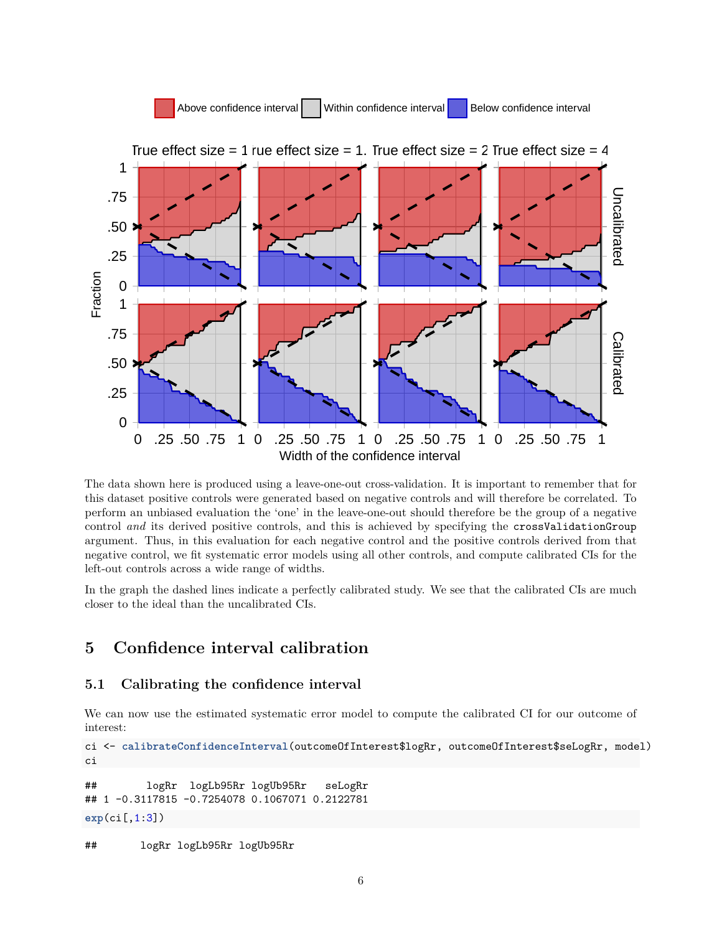

The data shown here is produced using a leave-one-out cross-validation. It is important to remember that for this dataset positive controls were generated based on negative controls and will therefore be correlated. To perform an unbiased evaluation the 'one' in the leave-one-out should therefore be the group of a negative control *and* its derived positive controls, and this is achieved by specifying the crossValidationGroup argument. Thus, in this evaluation for each negative control and the positive controls derived from that negative control, we fit systematic error models using all other controls, and compute calibrated CIs for the left-out controls across a wide range of widths.

In the graph the dashed lines indicate a perfectly calibrated study. We see that the calibrated CIs are much closer to the ideal than the uncalibrated CIs.

# <span id="page-5-0"></span>**5 Confidence interval calibration**

#### <span id="page-5-1"></span>**5.1 Calibrating the confidence interval**

We can now use the estimated systematic error model to compute the calibrated CI for our outcome of interest:

ci <- **calibrateConfidenceInterval**(outcomeOfInterest\$logRr, outcomeOfInterest\$seLogRr, model) ci

```
## logRr logLb95Rr logUb95Rr seLogRr
## 1 -0.3117815 -0.7254078 0.1067071 0.2122781
exp(ci[,1:3])
```
## logRr logLb95Rr logUb95Rr